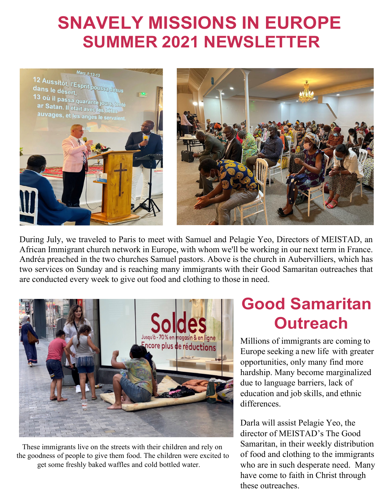## **SNAVELY MISSIONS IN EUROPE SUMMER 2021 NEWSLETTER**



During July, we traveled to Paris to meet with Samuel and Pelagie Yeo, Directors of MEISTAD, an African Immigrant church network in Europe, with whom we'll be working in our next term in France. Andréa preached in the two churches Samuel pastors. Above is the church in Aubervilliers, which has two services on Sunday and is reaching many immigrants with their Good Samaritan outreaches that are conducted every week to give out food and clothing to those in need.



These immigrants live on the streets with their children and rely on the goodness of people to give them food. The children were excited to get some freshly baked waffles and cold bottled water.

## **Good Samaritan Outreach**

Millions of immigrants are coming to Europe seeking a new life with greater opportunities, only many find more hardship. Many become marginalized due to language barriers, lack of education and job skills, and ethnic differences.

Darla will assist Pelagie Yeo, the director of MEISTAD's The Good Samaritan, in their weekly distribution of food and clothing to the immigrants who are in such desperate need. Many have come to faith in Christ through these outreaches.